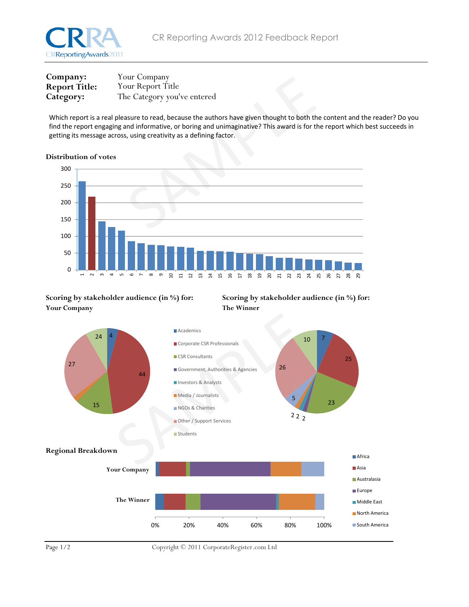

| Company:             | Your Company                |
|----------------------|-----------------------------|
| <b>Report Title:</b> | Your Report Title           |
| Category:            | The Category you've entered |

Which report is a real pleasure to read, because the authors have given thought to both the content and the reader? Do you find the report engaging and informative, or boring and unimaginative? This award is for the report which best succeeds in getting its message across, using creativity as a defining factor.

## Distribution of votes



## Scoring by stakeholder audience (in %) for: Scoring by stakeholder audience (in %) for: Your Company The Winner





Page  $1/2$  Copyright © 2011 CorporateRegister.com Ltd